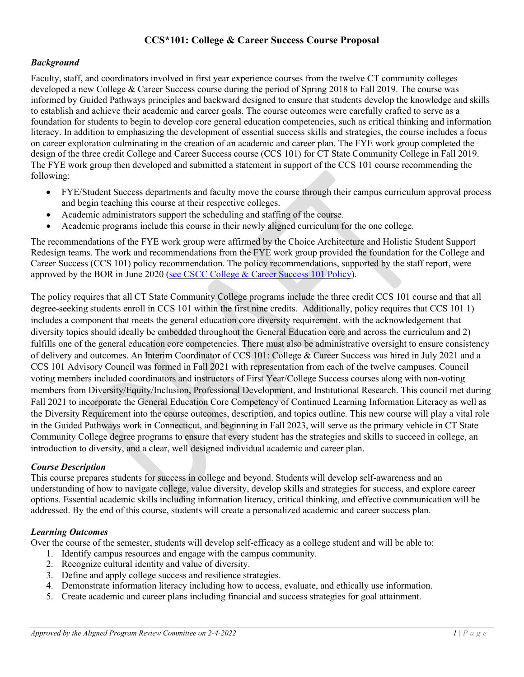# **CCS\*101: College & Career Success Course Proposal**

### *Background*

Faculty, staff, and coordinators involved in first year experience courses from the twelve CT community colleges developed a new College & Career Success course during the period of Spring 2018 to Fall 2019. The course was informed by Guided Pathways principles and backward designed to ensure that students develop the knowledge and skills to establish and achieve their academic and career goals. The course outcomes were carefully crafted to serve as a foundation for students to begin to develop core general education competencies, such as critical thinking and information literacy. In addition to emphasizing the development of essential success skills and strategies, the course includes a focus on career exploration culminating in the creation of an academic and career plan. The FYE work group completed the design of the three credit College and Career Success course (CCS 101) for CT State Community College in Fall 2019. The FYE work group then developed and submitted a statement in support of the CCS 101 course recommending the following:

- FYE/Student Success departments and faculty move the course through their campus curriculum approval process and begin teaching this course at their respective colleges.
- Academic administrators support the scheduling and staffing of the course.
- Academic programs include this course in their newly aligned curriculum for the one college.

The recommendations of the FYE work group were affirmed by the Choice Architecture and Holistic Student Support Redesign teams. The work and recommendations from the FYE work group provided the foundation for the College and Career Success (CCS 101) policy recommendation. The policy recommendations, supported by the staff report, were approved by the BOR in June 2020 [\(see CSCC College & Career Success 101 Policy\)](https://www.ct.edu/files/policies/1.18%20CSCC%20College%20and%20Career%20Success%20101.pdf).

The policy requires that all CT State Community College programs include the three credit CCS 101 course and that all degree-seeking students enroll in CCS 101 within the first nine credits. Additionally, policy requires that CCS 101 1) includes a component that meets the general education core diversity requirement, with the acknowledgement that diversity topics should ideally be embedded throughout the General Education core and across the curriculum and 2) fulfills one of the general education core competencies. There must also be administrative oversight to ensure consistency of delivery and outcomes. An Interim Coordinator of CCS 101: College & Career Success was hired in July 2021 and a CCS 101 Advisory Council was formed in Fall 2021 with representation from each of the twelve campuses. Council voting members included coordinators and instructors of First Year/College Success courses along with non-voting members from Diversity/Equity/Inclusion, Professional Development, and Institutional Research. This council met during Fall 2021 to incorporate the General Education Core Competency of Continued Learning Information Literacy as well as the Diversity Requirement into the course outcomes, description, and topics outline. This new course will play a vital role in the Guided Pathways work in Connecticut, and beginning in Fall 2023, will serve as the primary vehicle in CT State Community College degree programs to ensure that every student has the strategies and skills to succeed in college, an introduction to diversity, and a clear, well designed individual academic and career plan.

### *Course Description*

This course prepares students for success in college and beyond. Students will develop self-awareness and an understanding of how to navigate college, value diversity, develop skills and strategies for success, and explore career options. Essential academic skills including information literacy, critical thinking, and effective communication will be addressed. By the end of this course, students will create a personalized academic and career success plan.

### *Learning Outcomes*

Over the course of the semester, students will develop self-efficacy as a college student and will be able to:

- 1. Identify campus resources and engage with the campus community.
- 2. Recognize cultural identity and value of diversity.
- 3. Define and apply college success and resilience strategies.
- 4. Demonstrate information literacy including how to access, evaluate, and ethically use information.
- 5. Create academic and career plans including financial and success strategies for goal attainment.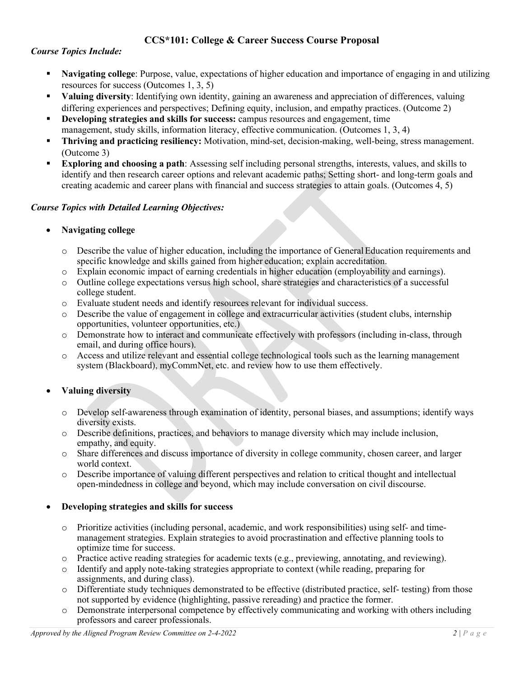## **CCS\*101: College & Career Success Course Proposal**

### *Course Topics Include:*

- **Navigating college**: Purpose, value, expectations of higher education and importance of engaging in and utilizing resources for success (Outcomes 1, 3, 5)
- **Valuing diversity**: Identifying own identity, gaining an awareness and appreciation of differences, valuing differing experiences and perspectives; Defining equity, inclusion, and empathy practices. (Outcome 2)
- **Developing strategies and skills for success:** campus resources and engagement, time management, study skills, information literacy, effective communication. (Outcomes 1, 3, 4)
- **Thriving and practicing resiliency:** Motivation, mind-set, decision-making, well-being, stress management. (Outcome 3)
- **Exploring and choosing a path**: Assessing self including personal strengths, interests, values, and skills to identify and then research career options and relevant academic paths; Setting short- and long-term goals and creating academic and career plans with financial and success strategies to attain goals. (Outcomes 4, 5)

### *Course Topics with Detailed Learning Objectives:*

### • **Navigating college**

- o Describe the value of higher education, including the importance of GeneralEducation requirements and specific knowledge and skills gained from higher education; explain accreditation.
- o Explain economic impact of earning credentials in higher education (employability and earnings).
- Outline college expectations versus high school, share strategies and characteristics of a successful college student.
- o Evaluate student needs and identify resources relevant for individual success.
- Describe the value of engagement in college and extracurricular activities (student clubs, internship opportunities, volunteer opportunities, etc.)
- o Demonstrate how to interact and communicate effectively with professors (including in-class, through email, and during office hours).
- o Access and utilize relevant and essential college technological tools such as the learning management system (Blackboard), myCommNet, etc. and review how to use them effectively.

### • **Valuing diversity**

- o Develop self-awareness through examination of identity, personal biases, and assumptions; identify ways diversity exists.
- o Describe definitions, practices, and behaviors to manage diversity which may include inclusion, empathy, and equity.
- o Share differences and discuss importance of diversity in college community, chosen career, and larger world context.
- o Describe importance of valuing different perspectives and relation to critical thought and intellectual open-mindedness in college and beyond, which may include conversation on civil discourse.

### • **Developing strategies and skills for success**

- o Prioritize activities (including personal, academic, and work responsibilities) using self- and timemanagement strategies. Explain strategies to avoid procrastination and effective planning tools to optimize time for success.
- o Practice active reading strategies for academic texts (e.g., previewing, annotating, and reviewing).
- o Identify and apply note-taking strategies appropriate to context (while reading, preparing for assignments, and during class).
- o Differentiate study techniques demonstrated to be effective (distributed practice, self- testing) from those not supported by evidence (highlighting, passive rereading) and practice the former.
- o Demonstrate interpersonal competence by effectively communicating and working with others including professors and career professionals.